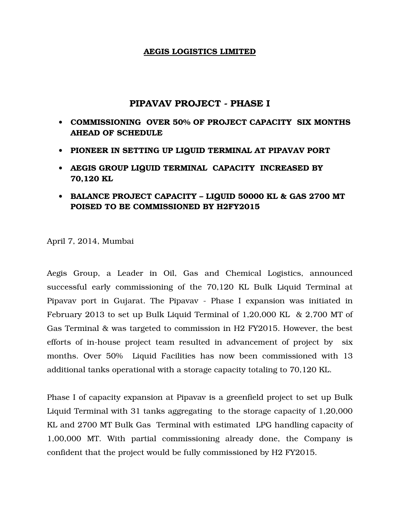## AEGIS LOGISTICS LIMITED

# PIPAVAV PROJECT - PHASE I

- COMMISSIONING OVER 50% OF PROJECT CAPACITY SIX MONTHS AHEAD OF SCHEDULE
- PIONEER IN SETTING UP LIQUID TERMINAL AT PIPAVAV PORT
- AEGIS GROUP LIQUID TERMINAL CAPACITY INCREASED BY 70,120 KL
- BALANCE PROJECT CAPACITY LIQUID 50000 KL & GAS 2700 MT POISED TO BE COMMISSIONED BY H2FY2015

April 7, 2014, Mumbai

Aegis Group, a Leader in Oil, Gas and Chemical Logistics, announced successful early commissioning of the 70,120 KL Bulk Liquid Terminal at Pipavav port in Gujarat. The Pipavav - Phase I expansion was initiated in February 2013 to set up Bulk Liquid Terminal of 1,20,000 KL & 2,700 MT of Gas Terminal & was targeted to commission in H2 FY2015. However, the best efforts of in-house project team resulted in advancement of project by six months. Over 50% Liquid Facilities has now been commissioned with 13 additional tanks operational with a storage capacity totaling to 70,120 KL.

Phase I of capacity expansion at Pipavav is a greenfield project to set up Bulk Liquid Terminal with 31 tanks aggregating to the storage capacity of 1,20,000 KL and 2700 MT Bulk Gas Terminal with estimated LPG handling capacity of 1,00,000 MT. With partial commissioning already done, the Company is confident that the project would be fully commissioned by H2 FY2015.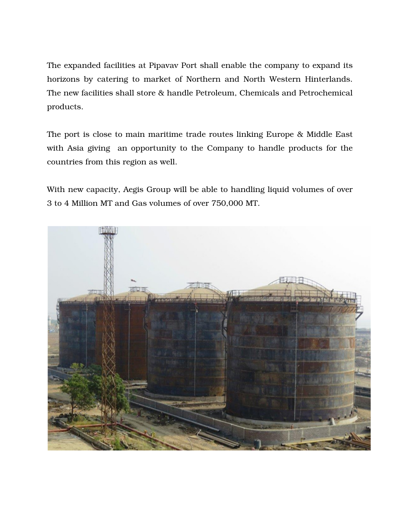The expanded facilities at Pipavav Port shall enable the company to expand its horizons by catering to market of Northern and North Western Hinterlands. The new facilities shall store & handle Petroleum, Chemicals and Petrochemical products.

The port is close to main maritime trade routes linking Europe & Middle East with Asia giving an opportunity to the Company to handle products for the countries from this region as well.

With new capacity, Aegis Group will be able to handling liquid volumes of over 3 to 4 Million MT and Gas volumes of over 750,000 MT.

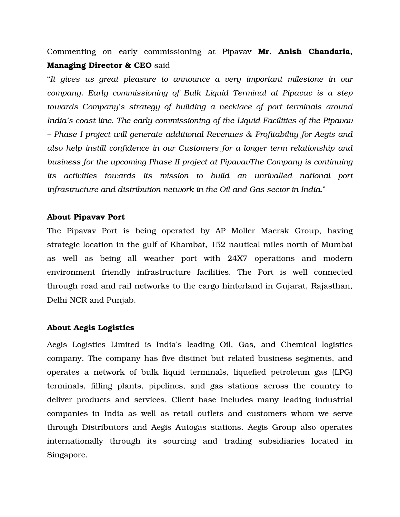Commenting on early commissioning at Pipavav Mr. Anish Chandaria, Managing Director & CEO said

"*It gives us great pleasure to announce a very important milestone in our company. Early commissioning of Bulk Liquid Terminal at Pipavav is a step towards Company's strategy of building a necklace of port terminals around India's coast line. The early commissioning of the Liquid Facilities of the Pipavav – Phase I project will generate additional Revenues & Profitability for Aegis and also help instill confidence in our Customers for a longer term relationship and business for the upcoming Phase II project at PipavavThe Company is continuing its activities towards its mission to build an unrivalled national port infrastructure and distribution network in the Oil and Gas sector in India.*"

## About Pipavav Port

The Pipavav Port is being operated by AP Moller Maersk Group, having strategic location in the gulf of Khambat, 152 nautical miles north of Mumbai as well as being all weather port with 24X7 operations and modern environment friendly infrastructure facilities. The Port is well connected through road and rail networks to the cargo hinterland in Gujarat, Rajasthan, Delhi NCR and Punjab.

## About Aegis Logistics

Aegis Logistics Limited is India's leading Oil, Gas, and Chemical logistics company. The company has five distinct but related business segments, and operates a network of bulk liquid terminals, liquefied petroleum gas (LPG) terminals, filling plants, pipelines, and gas stations across the country to deliver products and services. Client base includes many leading industrial companies in India as well as retail outlets and customers whom we serve through Distributors and Aegis Autogas stations. Aegis Group also operates internationally through its sourcing and trading subsidiaries located in Singapore.